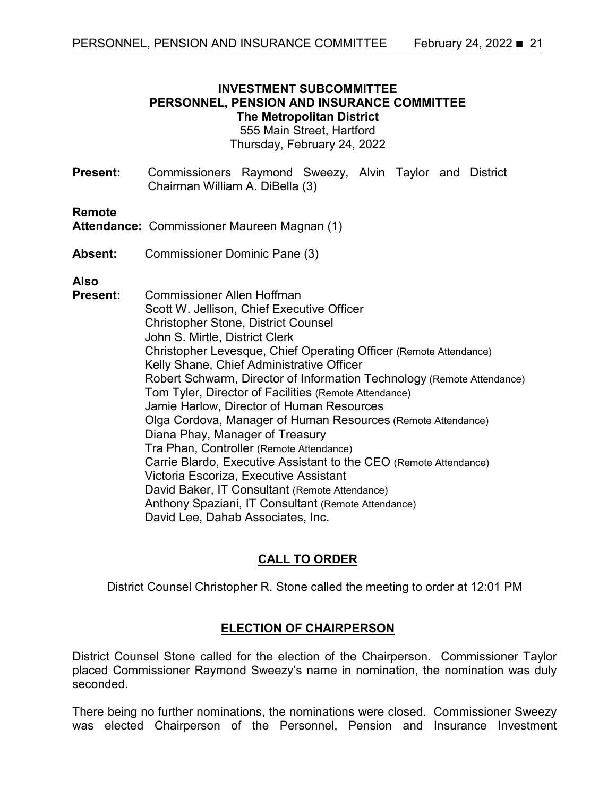### **INVESTMENT SUBCOMMITTEE PERSONNEL, PENSION AND INSURANCE COMMITTEE The Metropolitan District**

555 Main Street, Hartford Thursday, February 24, 2022

**Present:** Commissioners Raymond Sweezy, Alvin Taylor and District Chairman William A. DiBella (3)

#### **Remote**

**Attendance:** Commissioner Maureen Magnan (1)

**Absent:** Commissioner Dominic Pane (3)

### **Also**

**Present:** Commissioner Allen Hoffman Scott W. Jellison, Chief Executive Officer Christopher Stone, District Counsel John S. Mirtle, District Clerk Christopher Levesque, Chief Operating Officer (Remote Attendance) Kelly Shane, Chief Administrative Officer Robert Schwarm, Director of Information Technology (Remote Attendance) Tom Tyler, Director of Facilities (Remote Attendance) Jamie Harlow, Director of Human Resources Olga Cordova, Manager of Human Resources (Remote Attendance) Diana Phay, Manager of Treasury Tra Phan, Controller (Remote Attendance) Carrie Blardo, Executive Assistant to the CEO (Remote Attendance) Victoria Escoriza, Executive Assistant David Baker, IT Consultant (Remote Attendance) Anthony Spaziani, IT Consultant (Remote Attendance) David Lee, Dahab Associates, Inc.

# **CALL TO ORDER**

District Counsel Christopher R. Stone called the meeting to order at 12:01 PM

### **ELECTION OF CHAIRPERSON**

District Counsel Stone called for the election of the Chairperson. Commissioner Taylor placed Commissioner Raymond Sweezy's name in nomination, the nomination was duly seconded.

There being no further nominations, the nominations were closed. Commissioner Sweezy was elected Chairperson of the Personnel, Pension and Insurance Investment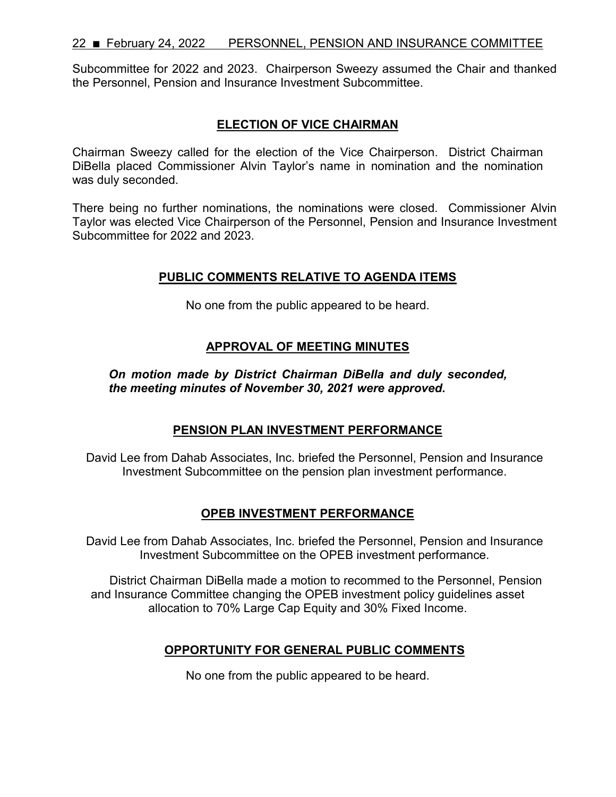Subcommittee for 2022 and 2023. Chairperson Sweezy assumed the Chair and thanked the Personnel, Pension and Insurance Investment Subcommittee.

### **ELECTION OF VICE CHAIRMAN**

Chairman Sweezy called for the election of the Vice Chairperson. District Chairman DiBella placed Commissioner Alvin Taylor's name in nomination and the nomination was duly seconded.

There being no further nominations, the nominations were closed. Commissioner Alvin Taylor was elected Vice Chairperson of the Personnel, Pension and Insurance Investment Subcommittee for 2022 and 2023.

### **PUBLIC COMMENTS RELATIVE TO AGENDA ITEMS**

No one from the public appeared to be heard.

### **APPROVAL OF MEETING MINUTES**

*On motion made by District Chairman DiBella and duly seconded, the meeting minutes of November 30, 2021 were approved.*

### **PENSION PLAN INVESTMENT PERFORMANCE**

David Lee from Dahab Associates, Inc. briefed the Personnel, Pension and Insurance Investment Subcommittee on the pension plan investment performance.

### **OPEB INVESTMENT PERFORMANCE**

David Lee from Dahab Associates, Inc. briefed the Personnel, Pension and Insurance Investment Subcommittee on the OPEB investment performance.

District Chairman DiBella made a motion to recommed to the Personnel, Pension and Insurance Committee changing the OPEB investment policy guidelines asset allocation to 70% Large Cap Equity and 30% Fixed Income.

### **OPPORTUNITY FOR GENERAL PUBLIC COMMENTS**

No one from the public appeared to be heard.